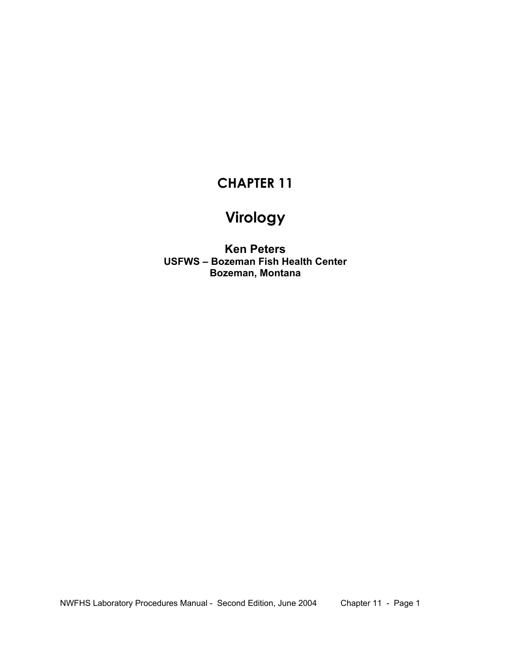# **CHAPTER 11**

# **Virology**

**Ken Peters USFWS – Bozeman Fish Health Center Bozeman, Montana**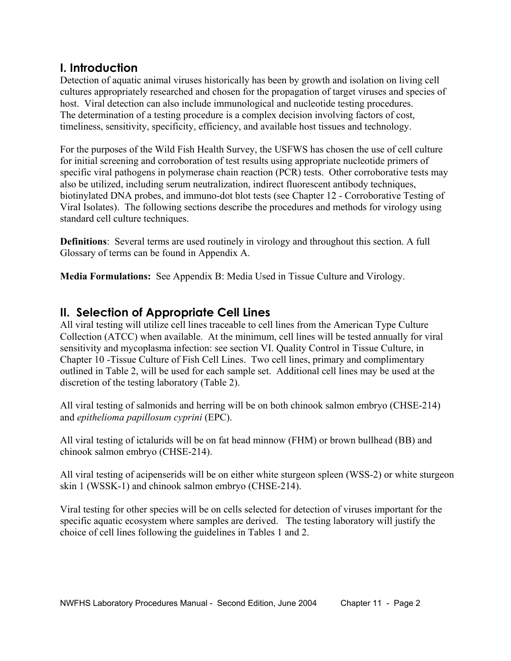## **I. Introduction**

Detection of aquatic animal viruses historically has been by growth and isolation on living cell cultures appropriately researched and chosen for the propagation of target viruses and species of host. Viral detection can also include immunological and nucleotide testing procedures. The determination of a testing procedure is a complex decision involving factors of cost, timeliness, sensitivity, specificity, efficiency, and available host tissues and technology.

For the purposes of the Wild Fish Health Survey, the USFWS has chosen the use of cell culture for initial screening and corroboration of test results using appropriate nucleotide primers of specific viral pathogens in polymerase chain reaction (PCR) tests. Other corroborative tests may also be utilized, including serum neutralization, indirect fluorescent antibody techniques, biotinylated DNA probes, and immuno-dot blot tests (see Chapter 12 - Corroborative Testing of Viral Isolates). The following sections describe the procedures and methods for virology using standard cell culture techniques.

**Definitions**: Several terms are used routinely in virology and throughout this section. A full Glossary of terms can be found in Appendix A.

**Media Formulations:** See Appendix B: Media Used in Tissue Culture and Virology.

## **II. Selection of Appropriate Cell Lines**

All viral testing will utilize cell lines traceable to cell lines from the American Type Culture Collection (ATCC) when available. At the minimum, cell lines will be tested annually for viral sensitivity and mycoplasma infection: see section VI. Quality Control in Tissue Culture, in Chapter 10 -Tissue Culture of Fish Cell Lines. Two cell lines, primary and complimentary outlined in Table 2, will be used for each sample set. Additional cell lines may be used at the discretion of the testing laboratory (Table 2).

All viral testing of salmonids and herring will be on both chinook salmon embryo (CHSE-214) and *epithelioma papillosum cyprini* (EPC).

All viral testing of ictalurids will be on fat head minnow (FHM) or brown bullhead (BB) and chinook salmon embryo (CHSE-214).

All viral testing of acipenserids will be on either white sturgeon spleen (WSS-2) or white sturgeon skin 1 (WSSK-1) and chinook salmon embryo (CHSE-214).

Viral testing for other species will be on cells selected for detection of viruses important for the specific aquatic ecosystem where samples are derived. The testing laboratory will justify the choice of cell lines following the guidelines in Tables 1 and 2.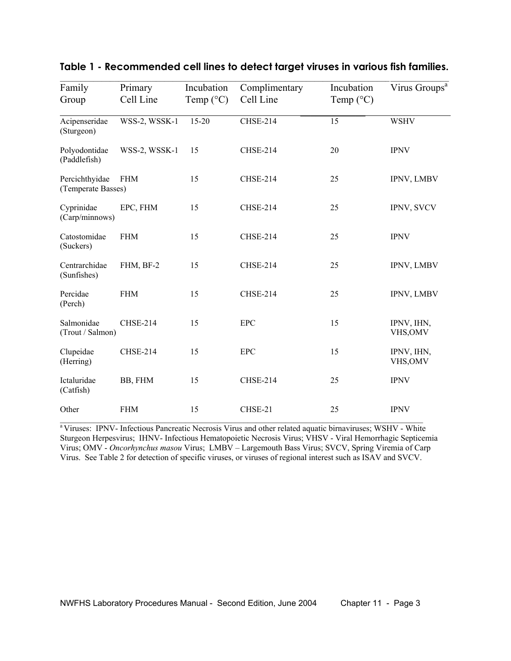| Family<br>Group                      | Primary<br>Cell Line | Incubation<br>Temp $(^{\circ}C)$ | Complimentary<br>Cell Line | Incubation<br>Temp $(^{\circ}C)$ | Virus Groups <sup>a</sup> |
|--------------------------------------|----------------------|----------------------------------|----------------------------|----------------------------------|---------------------------|
| Acipenseridae<br>(Sturgeon)          | WSS-2, WSSK-1        | $15 - 20$                        | <b>CHSE-214</b>            | 15                               | <b>WSHV</b>               |
| Polyodontidae<br>(Paddlefish)        | WSS-2, WSSK-1        | 15                               | <b>CHSE-214</b>            | 20                               | <b>IPNV</b>               |
| Percichthyidae<br>(Temperate Basses) | <b>FHM</b>           | 15                               | <b>CHSE-214</b>            | 25                               | IPNV, LMBV                |
| Cyprinidae<br>(Carp/minnows)         | EPC, FHM             | 15                               | <b>CHSE-214</b>            | 25                               | IPNV, SVCV                |
| Catostomidae<br>(Suckers)            | <b>FHM</b>           | 15                               | CHSE-214                   | 25                               | <b>IPNV</b>               |
| Centrarchidae<br>(Sunfishes)         | FHM, BF-2            | 15                               | <b>CHSE-214</b>            | 25                               | IPNV, LMBV                |
| Percidae<br>(Perch)                  | <b>FHM</b>           | 15                               | <b>CHSE-214</b>            | 25                               | IPNV, LMBV                |
| Salmonidae<br>(Trout / Salmon)       | <b>CHSE-214</b>      | 15                               | <b>EPC</b>                 | 15                               | IPNV, IHN,<br>VHS, OMV    |
| Clupeidae<br>(Herring)               | <b>CHSE-214</b>      | 15                               | <b>EPC</b>                 | 15                               | IPNV, IHN,<br>VHS, OMV    |
| Ictaluridae<br>(Catfish)             | BB, FHM              | 15                               | <b>CHSE-214</b>            | 25                               | <b>IPNV</b>               |
| Other                                | <b>FHM</b>           | 15                               | CHSE-21                    | 25                               | <b>IPNV</b>               |

#### **Table 1 - Recommended cell lines to detect target viruses in various fish families.**

<sup>a</sup> Viruses: IPNV- Infectious Pancreatic Necrosis Virus and other related aquatic birnaviruses; WSHV - White Sturgeon Herpesvirus; IHNV- Infectious Hematopoietic Necrosis Virus; VHSV - Viral Hemorrhagic Septicemia Virus; OMV - *Oncorhynchus masou* Virus; LMBV – Largemouth Bass Virus; SVCV, Spring Viremia of Carp Virus. See Table 2 for detection of specific viruses, or viruses of regional interest such as ISAV and SVCV.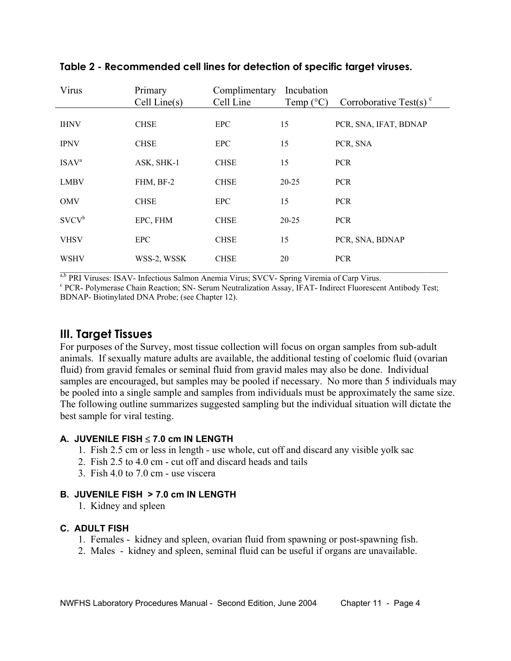| Virus                    | Primary      | Complimentary | Incubation         |                                    |
|--------------------------|--------------|---------------|--------------------|------------------------------------|
|                          | Cell Line(s) | Cell Line     | Temp $(^{\circ}C)$ | Corroborative Test(s) <sup>c</sup> |
| <b>IHNV</b>              | <b>CHSE</b>  | <b>EPC</b>    | 15                 | PCR, SNA, IFAT, BDNAP              |
| <b>IPNV</b>              | <b>CHSE</b>  | <b>EPC</b>    | 15                 | PCR, SNA                           |
| <b>ISAV</b> <sup>a</sup> | ASK, SHK-1   | <b>CHSE</b>   | 15                 | <b>PCR</b>                         |
| <b>LMBV</b>              | FHM, BF-2    | <b>CHSE</b>   | $20 - 25$          | <b>PCR</b>                         |
| <b>OMV</b>               | <b>CHSE</b>  | <b>EPC</b>    | 15                 | <b>PCR</b>                         |
| $SVCV^b$                 | EPC, FHM     | <b>CHSE</b>   | $20 - 25$          | <b>PCR</b>                         |
| <b>VHSV</b>              | <b>EPC</b>   | <b>CHSE</b>   | 15                 | PCR, SNA, BDNAP                    |
| <b>WSHV</b>              | WSS-2, WSSK  | <b>CHSE</b>   | 20                 | <b>PCR</b>                         |
|                          |              |               |                    |                                    |

#### **Table 2 - Recommended cell lines for detection of specific target viruses.**

<sup>a,b</sup> PRI Viruses: ISAV- Infectious Salmon Anemia Virus; SVCV- Spring Viremia of Carp Virus.<br><sup>c</sup> PCP - Polymerese Chein Beastion: SN - Serum Neutrelization Assey, JEAT - Indirect Eluorescom

 PCR- Polymerase Chain Reaction; SN- Serum Neutralization Assay, IFAT- Indirect Fluorescent Antibody Test; BDNAP- Biotinylated DNA Probe; (see Chapter 12).

## **III. Target Tissues**

For purposes of the Survey, most tissue collection will focus on organ samples from sub-adult animals. If sexually mature adults are available, the additional testing of coelomic fluid (ovarian fluid) from gravid females or seminal fluid from gravid males may also be done. Individual samples are encouraged, but samples may be pooled if necessary. No more than 5 individuals may be pooled into a single sample and samples from individuals must be approximately the same size. The following outline summarizes suggested sampling but the individual situation will dictate the best sample for viral testing.

### **A. JUVENILE FISH** ≤ **7.0 cm IN LENGTH**

- 1. Fish 2.5 cm or less in length use whole, cut off and discard any visible yolk sac
- 2. Fish 2.5 to 4.0 cm cut off and discard heads and tails
- 3. Fish 4.0 to 7.0 cm use viscera

### **B. JUVENILE FISH > 7.0 cm IN LENGTH**

1. Kidney and spleen

### **C. ADULT FISH**

- 1. Females kidney and spleen, ovarian fluid from spawning or post-spawning fish.
- 2. Males kidney and spleen, seminal fluid can be useful if organs are unavailable.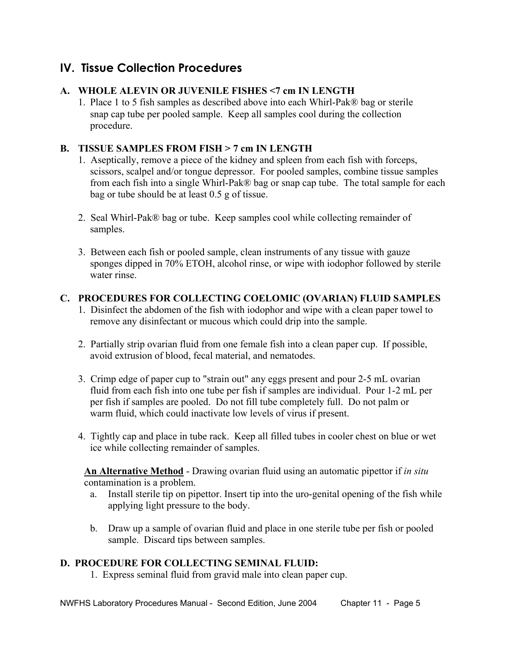## **IV. Tissue Collection Procedures**

### **A. WHOLE ALEVIN OR JUVENILE FISHES <7 cm IN LENGTH**

1.Place 1 to 5 fish samples as described above into each Whirl-Pak® bag or sterile snap cap tube per pooled sample. Keep all samples cool during the collection procedure.

### **B. TISSUE SAMPLES FROM FISH > 7 cm IN LENGTH**

- 1. Aseptically, remove a piece of the kidney and spleen from each fish with forceps, scissors, scalpel and/or tongue depressor. For pooled samples, combine tissue samples from each fish into a single Whirl-Pak® bag or snap cap tube. The total sample for each bag or tube should be at least 0.5 g of tissue.
- 2. Seal Whirl-Pak® bag or tube. Keep samples cool while collecting remainder of samples.
- 3. Between each fish or pooled sample, clean instruments of any tissue with gauze sponges dipped in 70% ETOH, alcohol rinse, or wipe with iodophor followed by sterile water rinse.

### **C. PROCEDURES FOR COLLECTING COELOMIC (OVARIAN) FLUID SAMPLES**

- 1. Disinfect the abdomen of the fish with iodophor and wipe with a clean paper towel to remove any disinfectant or mucous which could drip into the sample.
- 2. Partially strip ovarian fluid from one female fish into a clean paper cup. If possible, avoid extrusion of blood, fecal material, and nematodes.
- 3. Crimp edge of paper cup to "strain out" any eggs present and pour 2-5 mL ovarian fluid from each fish into one tube per fish if samples are individual. Pour 1-2 mL per per fish if samples are pooled. Do not fill tube completely full. Do not palm or warm fluid, which could inactivate low levels of virus if present.
- 4. Tightly cap and place in tube rack. Keep all filled tubes in cooler chest on blue or wet ice while collecting remainder of samples.

**An Alternative Method** - Drawing ovarian fluid using an automatic pipettor if *in situ* contamination is a problem.

- a. Install sterile tip on pipettor. Insert tip into the uro-genital opening of the fish while applying light pressure to the body.
- b. Draw up a sample of ovarian fluid and place in one sterile tube per fish or pooled sample. Discard tips between samples.

### **D. PROCEDURE FOR COLLECTING SEMINAL FLUID:**

1. Express seminal fluid from gravid male into clean paper cup.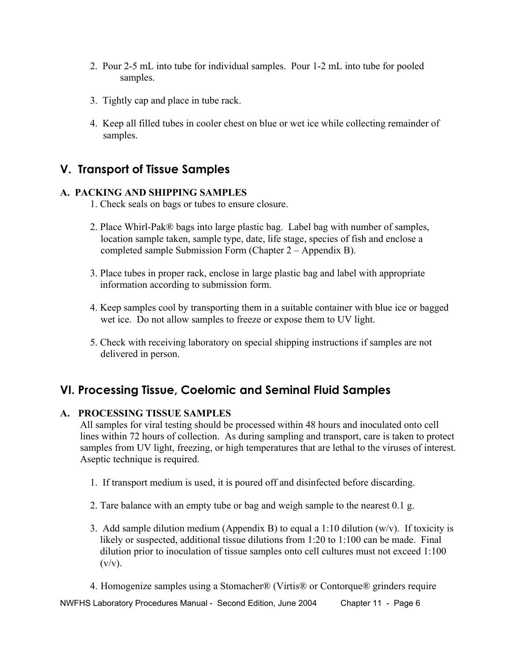- 2. Pour 2-5 mL into tube for individual samples. Pour 1-2 mL into tube for pooled samples.
- 3. Tightly cap and place in tube rack.
- 4. Keep all filled tubes in cooler chest on blue or wet ice while collecting remainder of samples.

## **V. Transport of Tissue Samples**

### **A. PACKING AND SHIPPING SAMPLES**

- 1. Check seals on bags or tubes to ensure closure.
- 2. Place Whirl-Pak® bags into large plastic bag. Label bag with number of samples, location sample taken, sample type, date, life stage, species of fish and enclose a completed sample Submission Form (Chapter 2 – Appendix B).
- 3. Place tubes in proper rack, enclose in large plastic bag and label with appropriate information according to submission form.
- 4. Keep samples cool by transporting them in a suitable container with blue ice or bagged wet ice. Do not allow samples to freeze or expose them to UV light.
- 5. Check with receiving laboratory on special shipping instructions if samples are not delivered in person.

## **VI. Processing Tissue, Coelomic and Seminal Fluid Samples**

### **A. PROCESSING TISSUE SAMPLES**

All samples for viral testing should be processed within 48 hours and inoculated onto cell lines within 72 hours of collection. As during sampling and transport, care is taken to protect samples from UV light, freezing, or high temperatures that are lethal to the viruses of interest. Aseptic technique is required.

- 1. If transport medium is used, it is poured off and disinfected before discarding.
- 2. Tare balance with an empty tube or bag and weigh sample to the nearest 0.1 g.
- 3. Add sample dilution medium (Appendix B) to equal a 1:10 dilution (w/v). If toxicity is likely or suspected, additional tissue dilutions from 1:20 to 1:100 can be made. Final dilution prior to inoculation of tissue samples onto cell cultures must not exceed 1:100  $(v/v)$ .
- 4. Homogenize samples using a Stomacher® (Virtis® or Contorque® grinders require

NWFHS Laboratory Procedures Manual - Second Edition, June 2004 Chapter 11 - Page 6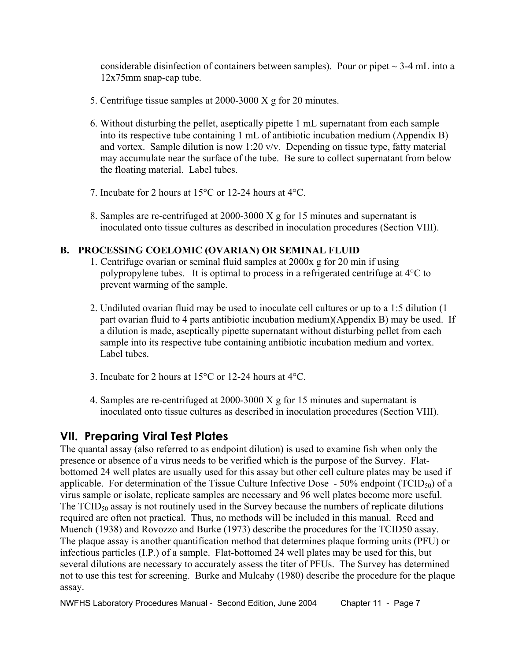considerable disinfection of containers between samples). Pour or pipet  $\sim$  3-4 mL into a 12x75mm snap-cap tube.

- 5. Centrifuge tissue samples at 2000-3000 X g for 20 minutes.
- 6. Without disturbing the pellet, aseptically pipette 1 mL supernatant from each sample into its respective tube containing 1 mL of antibiotic incubation medium (Appendix B) and vortex. Sample dilution is now 1:20 v/v. Depending on tissue type, fatty material may accumulate near the surface of the tube. Be sure to collect supernatant from below the floating material. Label tubes.
- 7. Incubate for 2 hours at 15°C or 12-24 hours at 4°C.
- 8. Samples are re-centrifuged at 2000-3000 X g for 15 minutes and supernatant is inoculated onto tissue cultures as described in inoculation procedures (Section VIII).

### **B. PROCESSING COELOMIC (OVARIAN) OR SEMINAL FLUID**

- 1. Centrifuge ovarian or seminal fluid samples at 2000x g for 20 min if using polypropylene tubes. It is optimal to process in a refrigerated centrifuge at 4°C to prevent warming of the sample.
- 2. Undiluted ovarian fluid may be used to inoculate cell cultures or up to a 1:5 dilution (1 part ovarian fluid to 4 parts antibiotic incubation medium)(Appendix B) may be used. If a dilution is made, aseptically pipette supernatant without disturbing pellet from each sample into its respective tube containing antibiotic incubation medium and vortex. Label tubes.
- 3. Incubate for 2 hours at 15°C or 12-24 hours at 4°C.
- 4. Samples are re-centrifuged at 2000-3000 X g for 15 minutes and supernatant is inoculated onto tissue cultures as described in inoculation procedures (Section VIII).

## **VII. Preparing Viral Test Plates**

The quantal assay (also referred to as endpoint dilution) is used to examine fish when only the presence or absence of a virus needs to be verified which is the purpose of the Survey. Flatbottomed 24 well plates are usually used for this assay but other cell culture plates may be used if applicable. For determination of the Tissue Culture Infective Dose  $-50\%$  endpoint (TCID<sub>50</sub>) of a virus sample or isolate, replicate samples are necessary and 96 well plates become more useful. The  $TCID_{50}$  assay is not routinely used in the Survey because the numbers of replicate dilutions required are often not practical. Thus, no methods will be included in this manual. Reed and Muench (1938) and Rovozzo and Burke (1973) describe the procedures for the TCID50 assay. The plaque assay is another quantification method that determines plaque forming units (PFU) or infectious particles (I.P.) of a sample. Flat-bottomed 24 well plates may be used for this, but several dilutions are necessary to accurately assess the titer of PFUs. The Survey has determined not to use this test for screening. Burke and Mulcahy (1980) describe the procedure for the plaque assay.

NWFHS Laboratory Procedures Manual - Second Edition, June 2004 Chapter 11 - Page 7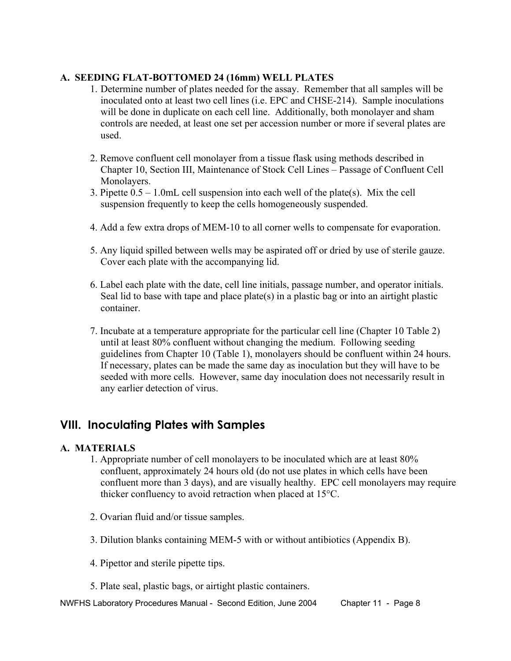### **A. SEEDING FLAT-BOTTOMED 24 (16mm) WELL PLATES**

- 1. Determine number of plates needed for the assay. Remember that all samples will be inoculated onto at least two cell lines (i.e. EPC and CHSE-214). Sample inoculations will be done in duplicate on each cell line. Additionally, both monolayer and sham controls are needed, at least one set per accession number or more if several plates are used.
- 2. Remove confluent cell monolayer from a tissue flask using methods described in Chapter 10, Section III, Maintenance of Stock Cell Lines – Passage of Confluent Cell Monolayers.
- 3. Pipette 0.5 1.0mL cell suspension into each well of the plate(s). Mix the cell suspension frequently to keep the cells homogeneously suspended.
- 4. Add a few extra drops of MEM-10 to all corner wells to compensate for evaporation.
- 5. Any liquid spilled between wells may be aspirated off or dried by use of sterile gauze. Cover each plate with the accompanying lid.
- 6. Label each plate with the date, cell line initials, passage number, and operator initials. Seal lid to base with tape and place plate(s) in a plastic bag or into an airtight plastic container.
- 7. Incubate at a temperature appropriate for the particular cell line (Chapter 10 Table 2) until at least 80% confluent without changing the medium. Following seeding guidelines from Chapter 10 (Table 1), monolayers should be confluent within 24 hours. If necessary, plates can be made the same day as inoculation but they will have to be seeded with more cells. However, same day inoculation does not necessarily result in any earlier detection of virus.

## **VIII. Inoculating Plates with Samples**

### **A. MATERIALS**

- 1. Appropriate number of cell monolayers to be inoculated which are at least 80% confluent, approximately 24 hours old (do not use plates in which cells have been confluent more than 3 days), and are visually healthy. EPC cell monolayers may require thicker confluency to avoid retraction when placed at 15°C.
- 2. Ovarian fluid and/or tissue samples.
- 3. Dilution blanks containing MEM-5 with or without antibiotics (Appendix B).
- 4. Pipettor and sterile pipette tips.
- 5. Plate seal, plastic bags, or airtight plastic containers.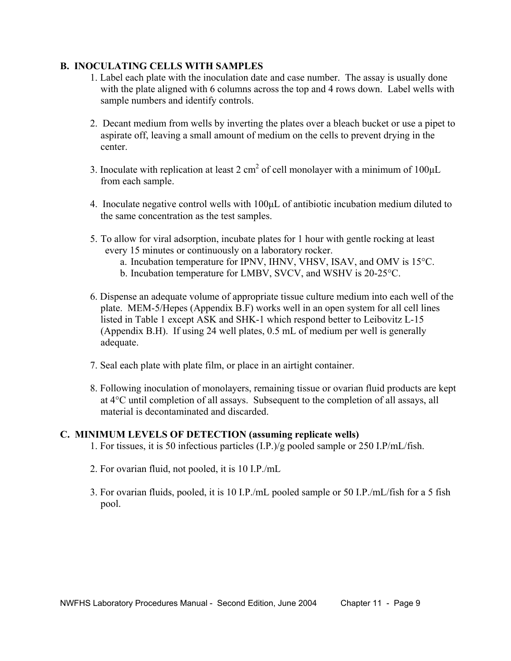#### **B. INOCULATING CELLS WITH SAMPLES**

- 1. Label each plate with the inoculation date and case number. The assay is usually done with the plate aligned with 6 columns across the top and 4 rows down. Label wells with sample numbers and identify controls.
- 2. Decant medium from wells by inverting the plates over a bleach bucket or use a pipet to aspirate off, leaving a small amount of medium on the cells to prevent drying in the center.
- 3. Inoculate with replication at least 2 cm<sup>2</sup> of cell monolayer with a minimum of 100 $\mu$ L from each sample.
	- 4. Inoculate negative control wells with 100µL of antibiotic incubation medium diluted to the same concentration as the test samples.
	- 5. To allow for viral adsorption, incubate plates for 1 hour with gentle rocking at least every 15 minutes or continuously on a laboratory rocker.
		- a. Incubation temperature for IPNV, IHNV, VHSV, ISAV, and OMV is 15°C.
		- b. Incubation temperature for LMBV, SVCV, and WSHV is 20-25°C.
	- 6. Dispense an adequate volume of appropriate tissue culture medium into each well of the plate. MEM-5/Hepes (Appendix B.F) works well in an open system for all cell lines listed in Table 1 except ASK and SHK-1 which respond better to Leibovitz L-15 (Appendix B.H). If using 24 well plates, 0.5 mL of medium per well is generally adequate.
	- 7. Seal each plate with plate film, or place in an airtight container.
	- 8. Following inoculation of monolayers, remaining tissue or ovarian fluid products are kept at 4°C until completion of all assays. Subsequent to the completion of all assays, all material is decontaminated and discarded.

#### **C. MINIMUM LEVELS OF DETECTION (assuming replicate wells)**

- 1. For tissues, it is 50 infectious particles (I.P.)/g pooled sample or 250 I.P/mL/fish.
- 2. For ovarian fluid, not pooled, it is 10 I.P./mL
- 3. For ovarian fluids, pooled, it is 10 I.P./mL pooled sample or 50 I.P./mL/fish for a 5 fish pool.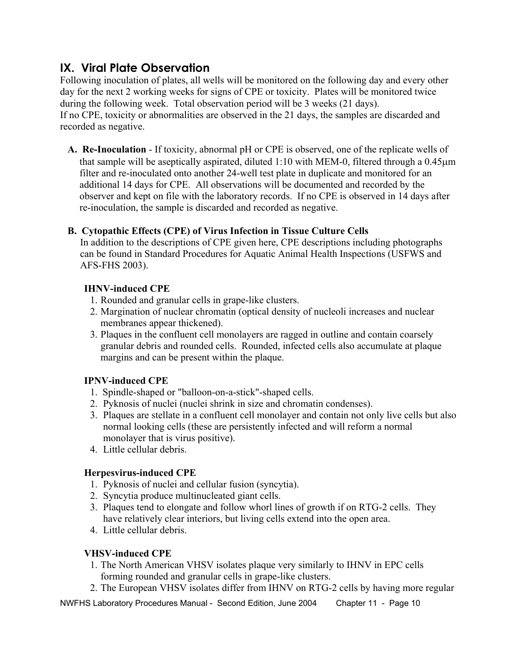## **IX. Viral Plate Observation**

Following inoculation of plates, all wells will be monitored on the following day and every other day for the next 2 working weeks for signs of CPE or toxicity. Plates will be monitored twice during the following week. Total observation period will be 3 weeks (21 days). If no CPE, toxicity or abnormalities are observed in the 21 days, the samples are discarded and recorded as negative.

**A. Re-Inoculation** - If toxicity, abnormal pH or CPE is observed, one of the replicate wells of that sample will be aseptically aspirated, diluted 1:10 with MEM-0, filtered through a 0.45µm filter and re-inoculated onto another 24-well test plate in duplicate and monitored for an additional 14 days for CPE. All observations will be documented and recorded by the observer and kept on file with the laboratory records. If no CPE is observed in 14 days after re-inoculation, the sample is discarded and recorded as negative.

### **B. Cytopathic Effects (CPE) of Virus Infection in Tissue Culture Cells**

In addition to the descriptions of CPE given here, CPE descriptions including photographs can be found in Standard Procedures for Aquatic Animal Health Inspections (USFWS and AFS-FHS 2003).

### **IHNV-induced CPE**

- 1. Rounded and granular cells in grape-like clusters.
- 2. Margination of nuclear chromatin (optical density of nucleoli increases and nuclear membranes appear thickened).
- 3. Plaques in the confluent cell monolayers are ragged in outline and contain coarsely granular debris and rounded cells. Rounded, infected cells also accumulate at plaque margins and can be present within the plaque.

### **IPNV-induced CPE**

- 1. Spindle-shaped or "balloon-on-a-stick"-shaped cells.
- 2. Pyknosis of nuclei (nuclei shrink in size and chromatin condenses).
- 3. Plaques are stellate in a confluent cell monolayer and contain not only live cells but also normal looking cells (these are persistently infected and will reform a normal monolayer that is virus positive).
- 4. Little cellular debris.

### **Herpesvirus-induced CPE**

- 1. Pyknosis of nuclei and cellular fusion (syncytia).
- 2. Syncytia produce multinucleated giant cells.
- 3. Plaques tend to elongate and follow whorl lines of growth if on RTG-2 cells. They have relatively clear interiors, but living cells extend into the open area.
- 4. Little cellular debris.

### **VHSV-induced CPE**

- 1. The North American VHSV isolates plaque very similarly to IHNV in EPC cells forming rounded and granular cells in grape-like clusters.
- 2. The European VHSV isolates differ from IHNV on RTG-2 cells by having more regular

NWFHS Laboratory Procedures Manual - Second Edition, June 2004 Chapter 11 - Page 10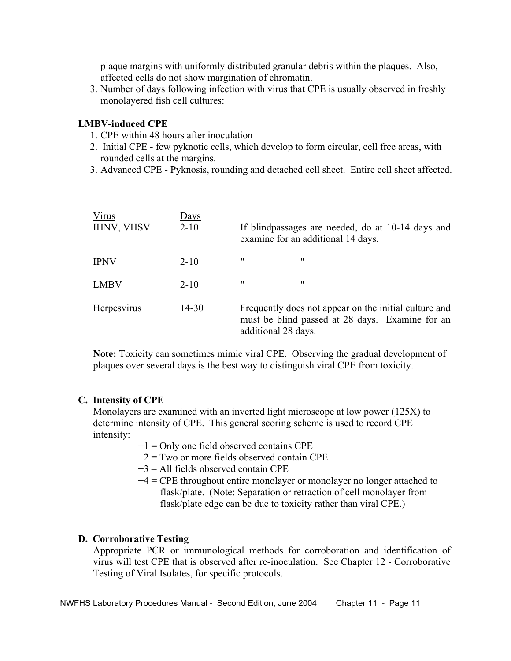plaque margins with uniformly distributed granular debris within the plaques. Also, affected cells do not show margination of chromatin.

 3. Number of days following infection with virus that CPE is usually observed in freshly monolayered fish cell cultures:

#### **LMBV-induced CPE**

- 1. CPE within 48 hours after inoculation
- 2. Initial CPE few pyknotic cells, which develop to form circular, cell free areas, with rounded cells at the margins.
- 3. Advanced CPE Pyknosis, rounding and detached cell sheet. Entire cell sheet affected.

| Virus<br><b>IHNV, VHSV</b> | <u>Days</u><br>$2 - 10$ |                     | If blindpassages are needed, do at 10-14 days and<br>examine for an additional 14 days.                  |  |
|----------------------------|-------------------------|---------------------|----------------------------------------------------------------------------------------------------------|--|
| <b>IPNV</b>                | $2 - 10$                | 11                  | 11                                                                                                       |  |
| <b>LMBV</b>                | $2 - 10$                | 11                  | 11                                                                                                       |  |
| Herpesvirus                | $14 - 30$               | additional 28 days. | Frequently does not appear on the initial culture and<br>must be blind passed at 28 days. Examine for an |  |

 **Note:** Toxicity can sometimes mimic viral CPE. Observing the gradual development of plaques over several days is the best way to distinguish viral CPE from toxicity.

#### **C. Intensity of CPE**

Monolayers are examined with an inverted light microscope at low power (125X) to determine intensity of CPE. This general scoring scheme is used to record CPE intensity:

- $+1$  = Only one field observed contains CPE
- $+2$  = Two or more fields observed contain CPE
- $+3$  = All fields observed contain CPE
- +4 = CPE throughout entire monolayer or monolayer no longer attached to flask/plate. (Note: Separation or retraction of cell monolayer from flask/plate edge can be due to toxicity rather than viral CPE.)

#### **D. Corroborative Testing**

Appropriate PCR or immunological methods for corroboration and identification of virus will test CPE that is observed after re-inoculation. See Chapter 12 - Corroborative Testing of Viral Isolates, for specific protocols.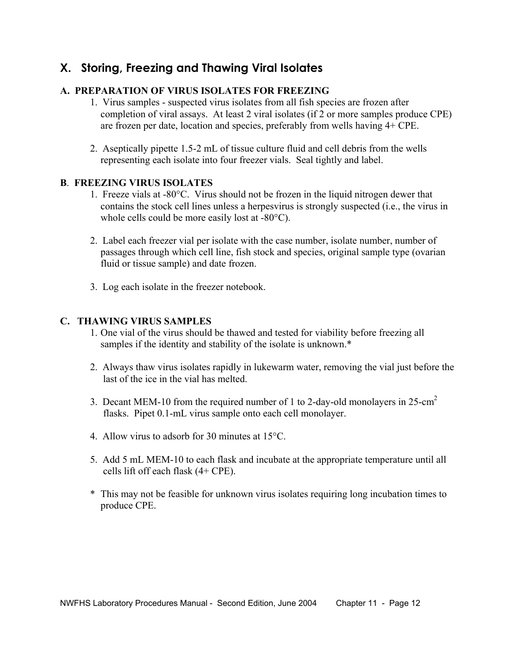## **X. Storing, Freezing and Thawing Viral Isolates**

### **A. PREPARATION OF VIRUS ISOLATES FOR FREEZING**

- 1. Virus samples suspected virus isolates from all fish species are frozen after completion of viral assays. At least 2 viral isolates (if 2 or more samples produce CPE) are frozen per date, location and species, preferably from wells having 4+ CPE.
- 2. Aseptically pipette 1.5-2 mL of tissue culture fluid and cell debris from the wells representing each isolate into four freezer vials. Seal tightly and label.

#### **B**. **FREEZING VIRUS ISOLATES**

- 1. Freeze vials at -80°C. Virus should not be frozen in the liquid nitrogen dewer that contains the stock cell lines unless a herpesvirus is strongly suspected (i.e., the virus in whole cells could be more easily lost at -80°C).
- 2. Label each freezer vial per isolate with the case number, isolate number, number of passages through which cell line, fish stock and species, original sample type (ovarian fluid or tissue sample) and date frozen.
- 3. Log each isolate in the freezer notebook.

#### **C. THAWING VIRUS SAMPLES**

- 1. One vial of the virus should be thawed and tested for viability before freezing all samples if the identity and stability of the isolate is unknown.\*
- 2. Always thaw virus isolates rapidly in lukewarm water, removing the vial just before the last of the ice in the vial has melted.
- 3. Decant MEM-10 from the required number of 1 to 2-day-old monolayers in  $25$ -cm<sup>2</sup> flasks. Pipet 0.1-mL virus sample onto each cell monolayer.
	- 4. Allow virus to adsorb for 30 minutes at 15°C.
	- 5. Add 5 mL MEM-10 to each flask and incubate at the appropriate temperature until all cells lift off each flask (4+ CPE).
	- \* This may not be feasible for unknown virus isolates requiring long incubation times to produce CPE.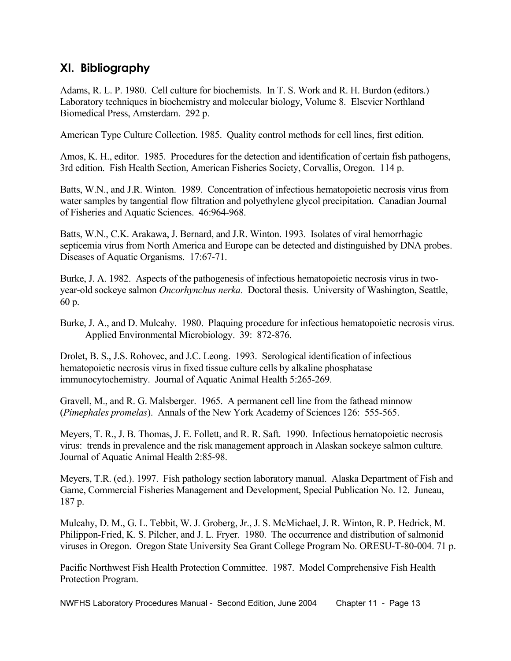## **XI. Bibliography**

Adams, R. L. P. 1980. Cell culture for biochemists. In T. S. Work and R. H. Burdon (editors.) Laboratory techniques in biochemistry and molecular biology, Volume 8. Elsevier Northland Biomedical Press, Amsterdam. 292 p.

American Type Culture Collection. 1985. Quality control methods for cell lines, first edition.

Amos, K. H., editor. 1985. Procedures for the detection and identification of certain fish pathogens, 3rd edition. Fish Health Section, American Fisheries Society, Corvallis, Oregon. 114 p.

Batts, W.N., and J.R. Winton. 1989. Concentration of infectious hematopoietic necrosis virus from water samples by tangential flow filtration and polyethylene glycol precipitation. Canadian Journal of Fisheries and Aquatic Sciences. 46:964-968.

Batts, W.N., C.K. Arakawa, J. Bernard, and J.R. Winton. 1993. Isolates of viral hemorrhagic septicemia virus from North America and Europe can be detected and distinguished by DNA probes. Diseases of Aquatic Organisms. 17:67-71.

Burke, J. A. 1982. Aspects of the pathogenesis of infectious hematopoietic necrosis virus in twoyear-old sockeye salmon *Oncorhynchus nerka*. Doctoral thesis. University of Washington, Seattle, 60 p.

Burke, J. A., and D. Mulcahy. 1980. Plaquing procedure for infectious hematopoietic necrosis virus. Applied Environmental Microbiology. 39: 872-876.

Drolet, B. S., J.S. Rohovec, and J.C. Leong. 1993. Serological identification of infectious hematopoietic necrosis virus in fixed tissue culture cells by alkaline phosphatase immunocytochemistry. Journal of Aquatic Animal Health 5:265-269.

Gravell, M., and R. G. Malsberger. 1965. A permanent cell line from the fathead minnow (*Pimephales promelas*). Annals of the New York Academy of Sciences 126: 555-565.

Meyers, T. R., J. B. Thomas, J. E. Follett, and R. R. Saft. 1990. Infectious hematopoietic necrosis virus: trends in prevalence and the risk management approach in Alaskan sockeye salmon culture. Journal of Aquatic Animal Health 2:85-98.

Meyers, T.R. (ed.). 1997. Fish pathology section laboratory manual. Alaska Department of Fish and Game, Commercial Fisheries Management and Development, Special Publication No. 12. Juneau, 187 p.

Mulcahy, D. M., G. L. Tebbit, W. J. Groberg, Jr., J. S. McMichael, J. R. Winton, R. P. Hedrick, M. Philippon-Fried, K. S. Pilcher, and J. L. Fryer. 1980. The occurrence and distribution of salmonid viruses in Oregon. Oregon State University Sea Grant College Program No. ORESU-T-80-004. 71 p.

Pacific Northwest Fish Health Protection Committee. 1987. Model Comprehensive Fish Health Protection Program.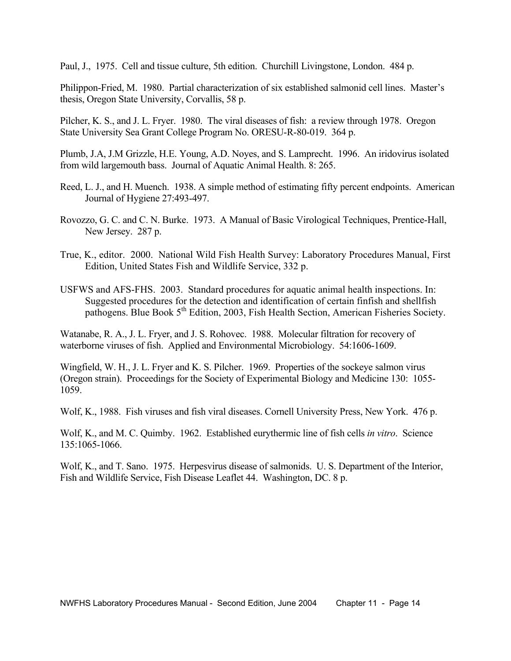Paul, J., 1975. Cell and tissue culture, 5th edition. Churchill Livingstone, London. 484 p.

Philippon-Fried, M. 1980. Partial characterization of six established salmonid cell lines. Master's thesis, Oregon State University, Corvallis, 58 p.

Pilcher, K. S., and J. L. Fryer. 1980. The viral diseases of fish: a review through 1978. Oregon State University Sea Grant College Program No. ORESU-R-80-019. 364 p.

Plumb, J.A, J.M Grizzle, H.E. Young, A.D. Noyes, and S. Lamprecht. 1996. An iridovirus isolated from wild largemouth bass. Journal of Aquatic Animal Health. 8: 265.

Reed, L. J., and H. Muench. 1938. A simple method of estimating fifty percent endpoints. American Journal of Hygiene 27:493-497.

- Rovozzo, G. C. and C. N. Burke. 1973. A Manual of Basic Virological Techniques, Prentice-Hall, New Jersey. 287 p.
- True, K., editor. 2000. National Wild Fish Health Survey: Laboratory Procedures Manual, First Edition, United States Fish and Wildlife Service, 332 p.

USFWS and AFS-FHS. 2003. Standard procedures for aquatic animal health inspections. In: Suggested procedures for the detection and identification of certain finfish and shellfish pathogens. Blue Book 5<sup>th</sup> Edition, 2003, Fish Health Section, American Fisheries Society.

Watanabe, R. A., J. L. Fryer, and J. S. Rohovec. 1988. Molecular filtration for recovery of waterborne viruses of fish. Applied and Environmental Microbiology. 54:1606-1609.

Wingfield, W. H., J. L. Fryer and K. S. Pilcher. 1969. Properties of the sockeye salmon virus (Oregon strain). Proceedings for the Society of Experimental Biology and Medicine 130: 1055- 1059.

Wolf, K., 1988. Fish viruses and fish viral diseases. Cornell University Press, New York. 476 p.

Wolf, K., and M. C. Quimby. 1962. Established eurythermic line of fish cells *in vitro*. Science 135:1065-1066.

Wolf, K., and T. Sano. 1975. Herpesvirus disease of salmonids. U. S. Department of the Interior, Fish and Wildlife Service, Fish Disease Leaflet 44. Washington, DC. 8 p.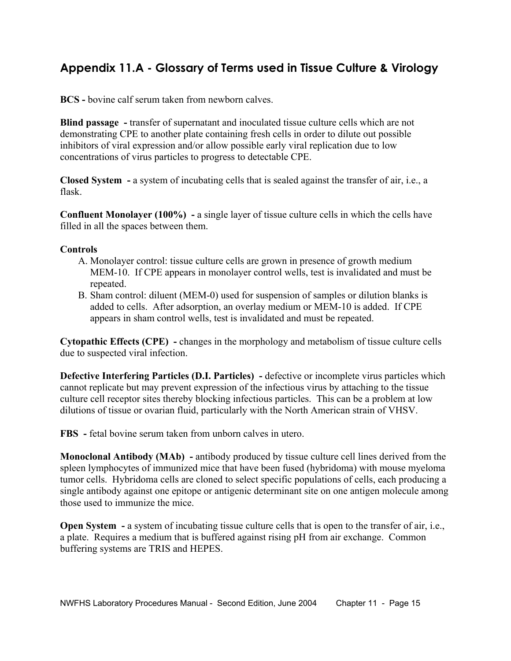## **Appendix 11.A - Glossary of Terms used in Tissue Culture & Virology**

**BCS -** bovine calf serum taken from newborn calves.

**Blind passage -** transfer of supernatant and inoculated tissue culture cells which are not demonstrating CPE to another plate containing fresh cells in order to dilute out possible inhibitors of viral expression and/or allow possible early viral replication due to low concentrations of virus particles to progress to detectable CPE.

**Closed System -** a system of incubating cells that is sealed against the transfer of air, i.e., a flask.

**Confluent Monolayer (100%) -** a single layer of tissue culture cells in which the cells have filled in all the spaces between them.

#### **Controls**

- A. Monolayer control: tissue culture cells are grown in presence of growth medium MEM-10. If CPE appears in monolayer control wells, test is invalidated and must be repeated.
- B. Sham control: diluent (MEM-0) used for suspension of samples or dilution blanks is added to cells. After adsorption, an overlay medium or MEM-10 is added. If CPE appears in sham control wells, test is invalidated and must be repeated.

**Cytopathic Effects (CPE) -** changes in the morphology and metabolism of tissue culture cells due to suspected viral infection.

**Defective Interfering Particles (D.I. Particles) -** defective or incomplete virus particles which cannot replicate but may prevent expression of the infectious virus by attaching to the tissue culture cell receptor sites thereby blocking infectious particles. This can be a problem at low dilutions of tissue or ovarian fluid, particularly with the North American strain of VHSV.

**FBS -** fetal bovine serum taken from unborn calves in utero.

**Monoclonal Antibody (MAb) -** antibody produced by tissue culture cell lines derived from the spleen lymphocytes of immunized mice that have been fused (hybridoma) with mouse myeloma tumor cells. Hybridoma cells are cloned to select specific populations of cells, each producing a single antibody against one epitope or antigenic determinant site on one antigen molecule among those used to immunize the mice.

**Open System - a system of incubating tissue culture cells that is open to the transfer of air, i.e.,** a plate. Requires a medium that is buffered against rising pH from air exchange. Common buffering systems are TRIS and HEPES.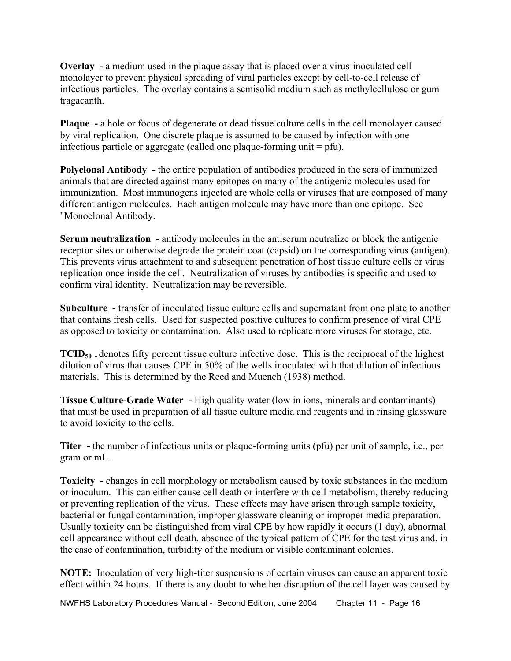**Overlay -** a medium used in the plaque assay that is placed over a virus-inoculated cell monolayer to prevent physical spreading of viral particles except by cell-to-cell release of infectious particles. The overlay contains a semisolid medium such as methylcellulose or gum tragacanth.

**Plaque -** a hole or focus of degenerate or dead tissue culture cells in the cell monolayer caused by viral replication. One discrete plaque is assumed to be caused by infection with one infectious particle or aggregate (called one plaque-forming unit  $=$  pfu).

**Polyclonal Antibody -** the entire population of antibodies produced in the sera of immunized animals that are directed against many epitopes on many of the antigenic molecules used for immunization. Most immunogens injected are whole cells or viruses that are composed of many different antigen molecules. Each antigen molecule may have more than one epitope. See "Monoclonal Antibody.

**Serum neutralization -** antibody molecules in the antiserum neutralize or block the antigenic receptor sites or otherwise degrade the protein coat (capsid) on the corresponding virus (antigen). This prevents virus attachment to and subsequent penetration of host tissue culture cells or virus replication once inside the cell. Neutralization of viruses by antibodies is specific and used to confirm viral identity. Neutralization may be reversible.

**Subculture -** transfer of inoculated tissue culture cells and supernatant from one plate to another that contains fresh cells. Used for suspected positive cultures to confirm presence of viral CPE as opposed to toxicity or contamination. Also used to replicate more viruses for storage, etc.

**TCID<sub>50</sub>** - denotes fifty percent tissue culture infective dose. This is the reciprocal of the highest dilution of virus that causes CPE in 50% of the wells inoculated with that dilution of infectious materials. This is determined by the Reed and Muench (1938) method.

**Tissue Culture-Grade Water -** High quality water (low in ions, minerals and contaminants) that must be used in preparation of all tissue culture media and reagents and in rinsing glassware to avoid toxicity to the cells.

**Titer -** the number of infectious units or plaque-forming units (pfu) per unit of sample, i.e., per gram or mL.

**Toxicity -** changes in cell morphology or metabolism caused by toxic substances in the medium or inoculum. This can either cause cell death or interfere with cell metabolism, thereby reducing or preventing replication of the virus. These effects may have arisen through sample toxicity, bacterial or fungal contamination, improper glassware cleaning or improper media preparation. Usually toxicity can be distinguished from viral CPE by how rapidly it occurs (1 day), abnormal cell appearance without cell death, absence of the typical pattern of CPE for the test virus and, in the case of contamination, turbidity of the medium or visible contaminant colonies.

**NOTE:** Inoculation of very high-titer suspensions of certain viruses can cause an apparent toxic effect within 24 hours. If there is any doubt to whether disruption of the cell layer was caused by

NWFHS Laboratory Procedures Manual - Second Edition, June 2004 Chapter 11 - Page 16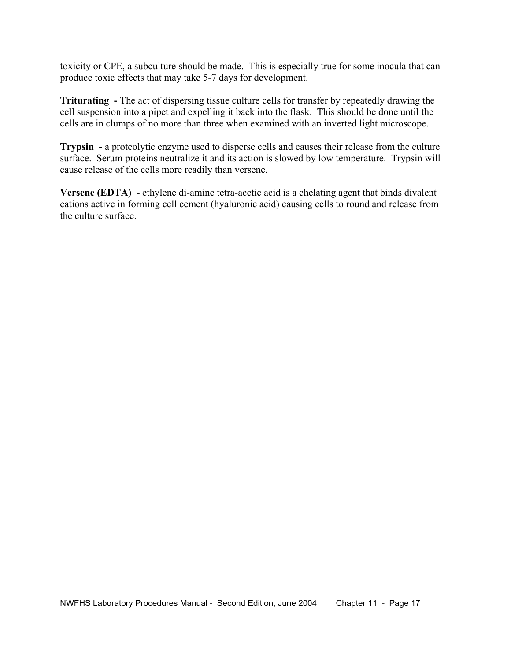toxicity or CPE, a subculture should be made. This is especially true for some inocula that can produce toxic effects that may take 5-7 days for development.

**Triturating -** The act of dispersing tissue culture cells for transfer by repeatedly drawing the cell suspension into a pipet and expelling it back into the flask. This should be done until the cells are in clumps of no more than three when examined with an inverted light microscope.

**Trypsin -** a proteolytic enzyme used to disperse cells and causes their release from the culture surface. Serum proteins neutralize it and its action is slowed by low temperature. Trypsin will cause release of the cells more readily than versene.

**Versene (EDTA) -** ethylene di-amine tetra-acetic acid is a chelating agent that binds divalent cations active in forming cell cement (hyaluronic acid) causing cells to round and release from the culture surface.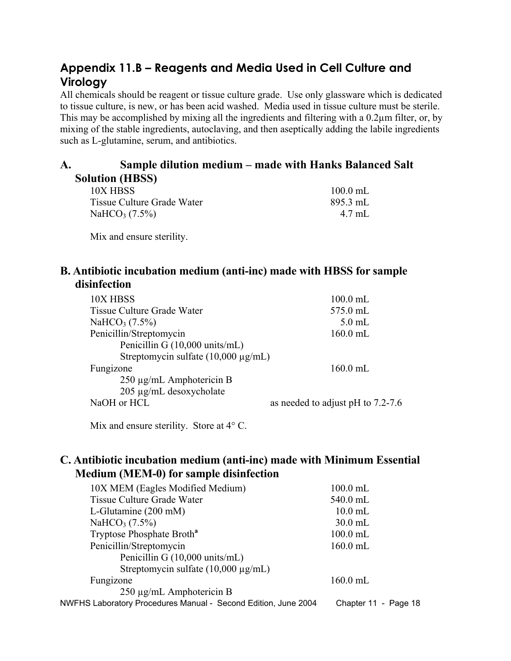## **Appendix 11.B – Reagents and Media Used in Cell Culture and Virology**

All chemicals should be reagent or tissue culture grade. Use only glassware which is dedicated to tissue culture, is new, or has been acid washed. Media used in tissue culture must be sterile. This may be accomplished by mixing all the ingredients and filtering with a 0.2µm filter, or, by mixing of the stable ingredients, autoclaving, and then aseptically adding the labile ingredients such as L-glutamine, serum, and antibiotics.

## **A. Sample dilution medium – made with Hanks Balanced Salt Solution (HBSS)**

10X HBSS 100.0 mL Tissue Culture Grade Water 895.3 mL  $NaHCO<sub>3</sub> (7.5%)$  4.7 mL

Mix and ensure sterility.

### **B. Antibiotic incubation medium (anti-inc) made with HBSS for sample disinfection**

| 10X HBSS                                 | $100.0$ mL                           |
|------------------------------------------|--------------------------------------|
| Tissue Culture Grade Water               | 575.0 mL                             |
| NaHCO <sub>3</sub> $(7.5\%)$             | $5.0$ mL                             |
| Penicillin/Streptomycin                  | $160.0$ mL                           |
| Penicillin G (10,000 units/mL)           |                                      |
| Streptomycin sulfate $(10,000 \mu g/mL)$ |                                      |
| Fungizone                                | $160.0$ mL                           |
| $250 \mu g/mL$ Amphotericin B            |                                      |
| 205 µg/mL desoxycholate                  |                                      |
| NaOH or HCL                              | as needed to adjust pH to $7.2$ -7.6 |
|                                          |                                      |

Mix and ensure sterility. Store at  $4^{\circ}$  C.

### **C. Antibiotic incubation medium (anti-inc) made with Minimum Essential Medium (MEM-0) for sample disinfection**

| 10X MEM (Eagles Modified Medium)                               | $100.0$ mL           |
|----------------------------------------------------------------|----------------------|
| <b>Tissue Culture Grade Water</b>                              | 540.0 mL             |
| L-Glutamine $(200 \text{ mM})$                                 | $10.0$ mL            |
| NaHCO <sub>3</sub> $(7.5\%)$                                   | $30.0$ mL            |
| Tryptose Phosphate Broth <sup>a</sup>                          | $100.0$ mL           |
| Penicillin/Streptomycin                                        | $160.0$ mL           |
| Penicillin G (10,000 units/mL)                                 |                      |
| Streptomycin sulfate $(10,000 \mu g/mL)$                       |                      |
| Fungizone                                                      | $160.0$ mL           |
| $250 \mu g/mL$ Amphotericin B                                  |                      |
| NWFHS Laboratory Procedures Manual - Second Edition, June 2004 | Chapter 11 - Page 18 |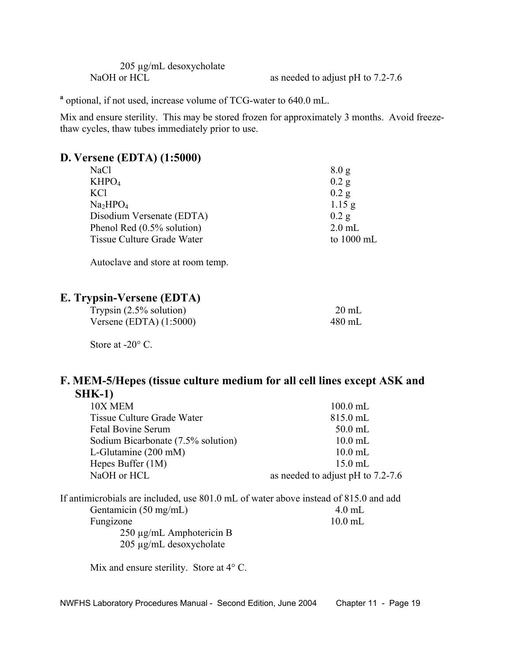|             | $205 \mu g/mL$ desoxycholate |  |
|-------------|------------------------------|--|
| NaOH or HCL |                              |  |

as needed to adjust pH to  $7.2-7.6$ 

<sup>a</sup> optional, if not used, increase volume of TCG-water to 640.0 mL.

Mix and ensure sterility. This may be stored frozen for approximately 3 months. Avoid freezethaw cycles, thaw tubes immediately prior to use.

### **D. Versene (EDTA) (1:5000)**

| <b>NaCl</b>                      | 8.0 <sub>g</sub>     |
|----------------------------------|----------------------|
| KHPO <sub>4</sub>                | $0.2$ g              |
| <b>KCl</b>                       | $0.2$ g              |
| Na <sub>2</sub> HPO <sub>4</sub> | 1.15 g               |
| Disodium Versenate (EDTA)        | $0.2$ g              |
| Phenol Red $(0.5\%$ solution)    | $2.0$ mL             |
| Tissue Culture Grade Water       | to $1000 \text{ mL}$ |

Autoclave and store at room temp.

### **E. Trypsin-Versene (EDTA)**

| Trypsin $(2.5\%$ solution) | $20 \text{ mL}$ |
|----------------------------|-----------------|
| Versene (EDTA) $(1:5000)$  | 480 mL          |

Store at -20 $^{\circ}$  C.

### **F. MEM-5/Hepes (tissue culture medium for all cell lines except ASK and SHK-1)**

| 10X MEM                                                                              | $100.0$ mL                            |
|--------------------------------------------------------------------------------------|---------------------------------------|
| Tissue Culture Grade Water                                                           | 815.0 mL                              |
| <b>Fetal Bovine Serum</b>                                                            | $50.0$ mL                             |
| Sodium Bicarbonate (7.5% solution)                                                   | $10.0$ mL                             |
| L-Glutamine $(200 \text{ mM})$                                                       | $10.0$ mL                             |
| Hepes Buffer $(1M)$                                                                  | $15.0$ mL                             |
| NaOH or HCL                                                                          | as needed to adjust pH to $7.2\n-7.6$ |
| If antimicrobials are included, use 801.0 mL of water above instead of 815.0 and add |                                       |
| Gentamicin $(50 \text{ mg/mL})$                                                      | $4.0$ mL                              |
| Fungizone                                                                            | $10.0$ mL                             |
| $250 \mu g/mL$ Amphotericin B                                                        |                                       |
| $205 \mu g/mL$ desoxycholate                                                         |                                       |
|                                                                                      |                                       |

Mix and ensure sterility. Store at  $4^{\circ}$  C.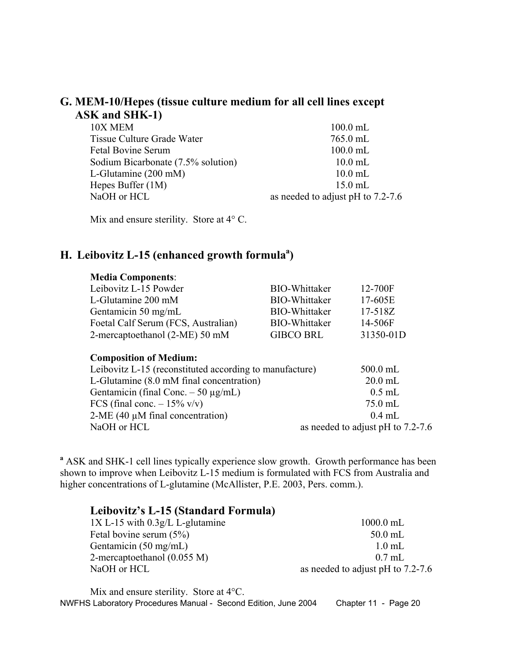### **G. MEM-10/Hepes (tissue culture medium for all cell lines except ASK and SHK-1)**

Mix and ensure sterility. Store at  $4^{\circ}$  C.

## H. Leibovitz L-15 (enhanced growth formula<sup>a</sup>)

| <b>Media Components:</b>                                                                 |                      |                                      |
|------------------------------------------------------------------------------------------|----------------------|--------------------------------------|
| Leibovitz L-15 Powder                                                                    | <b>BIO-Whittaker</b> | 12-700F                              |
| L-Glutamine 200 mM                                                                       | <b>BIO-Whittaker</b> | 17-605E                              |
| Gentamicin 50 mg/mL                                                                      | <b>BIO-Whittaker</b> | 17-518Z                              |
| Foetal Calf Serum (FCS, Australian)                                                      | <b>BIO-Whittaker</b> | 14-506F                              |
| 2-mercaptoethanol (2-ME) 50 mM                                                           | <b>GIBCO BRL</b>     | 31350-01D                            |
| <b>Composition of Medium:</b><br>Leibovitz L-15 (reconstituted according to manufacture) |                      | $500.0$ mL                           |
|                                                                                          |                      |                                      |
| L-Glutamine (8.0 mM final concentration)                                                 |                      | $20.0$ mL                            |
| Gentamicin (final Conc. $-50 \mu g/mL$ )                                                 |                      | $0.5$ mL                             |
| FCS (final conc. $-15\%$ v/v)                                                            |                      | $75.0$ mL                            |
| $2-ME$ (40 $\mu$ M final concentration)                                                  |                      | $0.4$ mL                             |
| NaOH or HCL                                                                              |                      | as needed to adjust pH to $7.2$ -7.6 |

<sup>a</sup> ASK and SHK-1 cell lines typically experience slow growth. Growth performance has been shown to improve when Leibovitz L-15 medium is formulated with FCS from Australia and higher concentrations of L-glutamine (McAllister, P.E. 2003, Pers. comm.).

| Leibovitz's L-15 (Standard Formula) |                                      |
|-------------------------------------|--------------------------------------|
| $1X L-15$ with $0.3g/L$ L-glutamine | $1000.0$ mL                          |
| Fetal bovine serum $(5\%)$          | $50.0$ mL                            |
| Gentamicin $(50 \text{ mg/mL})$     | $1.0$ mL                             |
| 2-mercaptoethanol $(0.055 M)$       | $0.7$ mL                             |
| NaOH or HCL                         | as needed to adjust pH to $7.2$ -7.6 |

NWFHS Laboratory Procedures Manual - Second Edition, June 2004 Chapter 11 - Page 20 Mix and ensure sterility. Store at 4°C.